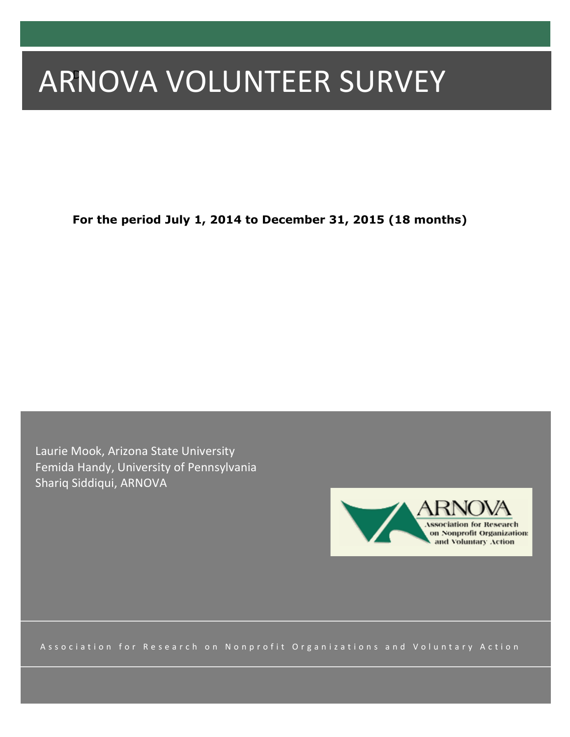# ARNOVA VOLUNTEER SURVEY

**For the period July 1, 2014 to December 31, 2015 (18 months)**

Laurie Mook, Arizona State University Femida Handy, University of Pennsylvania Shariq Siddiqui, ARNOVA



Association for Research on Nonprofit Organizations and Voluntary Action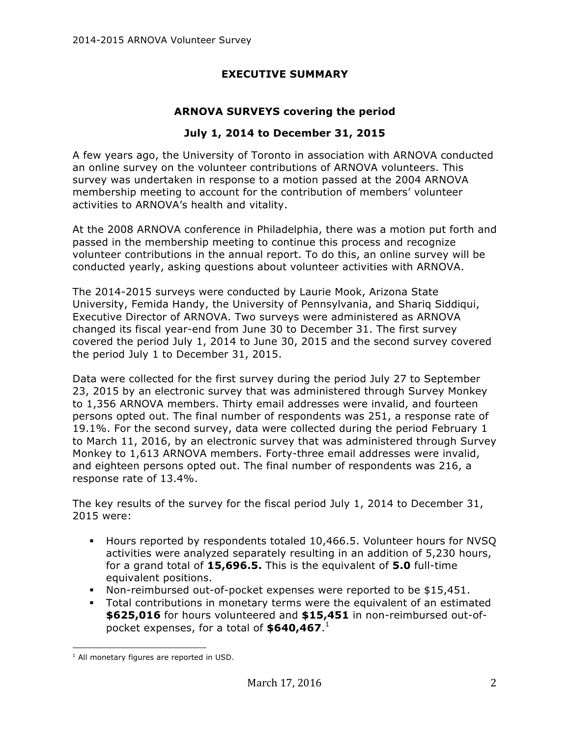## **EXECUTIVE SUMMARY**

### **ARNOVA SURVEYS covering the period**

#### **July 1, 2014 to December 31, 2015**

A few years ago, the University of Toronto in association with ARNOVA conducted an online survey on the volunteer contributions of ARNOVA volunteers. This survey was undertaken in response to a motion passed at the 2004 ARNOVA membership meeting to account for the contribution of members' volunteer activities to ARNOVA's health and vitality.

At the 2008 ARNOVA conference in Philadelphia, there was a motion put forth and passed in the membership meeting to continue this process and recognize volunteer contributions in the annual report. To do this, an online survey will be conducted yearly, asking questions about volunteer activities with ARNOVA.

The 2014-2015 surveys were conducted by Laurie Mook, Arizona State University, Femida Handy, the University of Pennsylvania, and Shariq Siddiqui, Executive Director of ARNOVA. Two surveys were administered as ARNOVA changed its fiscal year-end from June 30 to December 31. The first survey covered the period July 1, 2014 to June 30, 2015 and the second survey covered the period July 1 to December 31, 2015.

Data were collected for the first survey during the period July 27 to September 23, 2015 by an electronic survey that was administered through Survey Monkey to 1,356 ARNOVA members. Thirty email addresses were invalid, and fourteen persons opted out. The final number of respondents was 251, a response rate of 19.1%. For the second survey, data were collected during the period February 1 to March 11, 2016, by an electronic survey that was administered through Survey Monkey to 1,613 ARNOVA members. Forty-three email addresses were invalid, and eighteen persons opted out. The final number of respondents was 216, a response rate of 13.4%.

The key results of the survey for the fiscal period July 1, 2014 to December 31, 2015 were:

- § Hours reported by respondents totaled 10,466.5. Volunteer hours for NVSQ activities were analyzed separately resulting in an addition of 5,230 hours, for a grand total of **15,696.5.** This is the equivalent of **5.0** full-time equivalent positions.
- § Non-reimbursed out-of-pocket expenses were reported to be \$15,451.
- Total contributions in monetary terms were the equivalent of an estimated **\$625,016** for hours volunteered and **\$15,451** in non-reimbursed out-ofpocket expenses, for a total of **\$640,467**. 1

  $<sup>1</sup>$  All monetary figures are reported in USD.</sup>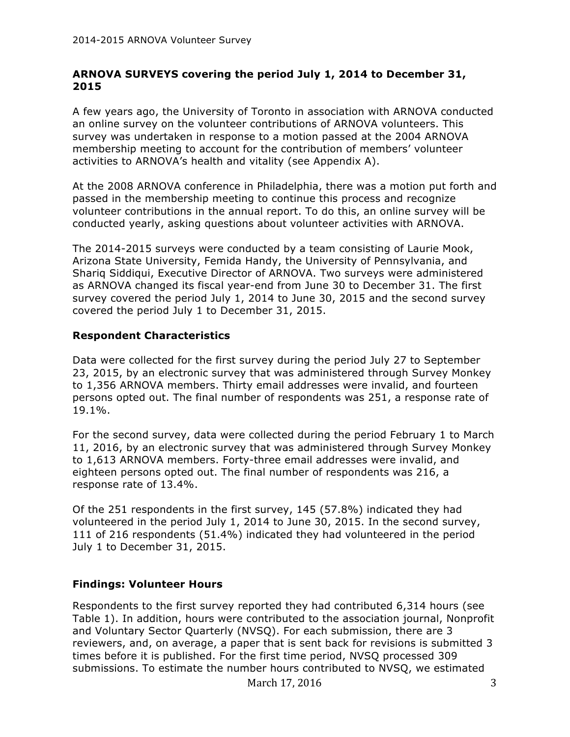#### **ARNOVA SURVEYS covering the period July 1, 2014 to December 31, 2015**

A few years ago, the University of Toronto in association with ARNOVA conducted an online survey on the volunteer contributions of ARNOVA volunteers. This survey was undertaken in response to a motion passed at the 2004 ARNOVA membership meeting to account for the contribution of members' volunteer activities to ARNOVA's health and vitality (see Appendix A).

At the 2008 ARNOVA conference in Philadelphia, there was a motion put forth and passed in the membership meeting to continue this process and recognize volunteer contributions in the annual report. To do this, an online survey will be conducted yearly, asking questions about volunteer activities with ARNOVA.

The 2014-2015 surveys were conducted by a team consisting of Laurie Mook, Arizona State University, Femida Handy, the University of Pennsylvania, and Shariq Siddiqui, Executive Director of ARNOVA. Two surveys were administered as ARNOVA changed its fiscal year-end from June 30 to December 31. The first survey covered the period July 1, 2014 to June 30, 2015 and the second survey covered the period July 1 to December 31, 2015.

## **Respondent Characteristics**

Data were collected for the first survey during the period July 27 to September 23, 2015, by an electronic survey that was administered through Survey Monkey to 1,356 ARNOVA members. Thirty email addresses were invalid, and fourteen persons opted out. The final number of respondents was 251, a response rate of 19.1%.

For the second survey, data were collected during the period February 1 to March 11, 2016, by an electronic survey that was administered through Survey Monkey to 1,613 ARNOVA members. Forty-three email addresses were invalid, and eighteen persons opted out. The final number of respondents was 216, a response rate of 13.4%.

Of the 251 respondents in the first survey, 145 (57.8%) indicated they had volunteered in the period July 1, 2014 to June 30, 2015. In the second survey, 111 of 216 respondents (51.4%) indicated they had volunteered in the period July 1 to December 31, 2015.

#### **Findings: Volunteer Hours**

Respondents to the first survey reported they had contributed 6,314 hours (see Table 1). In addition, hours were contributed to the association journal, Nonprofit and Voluntary Sector Quarterly (NVSQ). For each submission, there are 3 reviewers, and, on average, a paper that is sent back for revisions is submitted 3 times before it is published. For the first time period, NVSQ processed 309 submissions. To estimate the number hours contributed to NVSQ, we estimated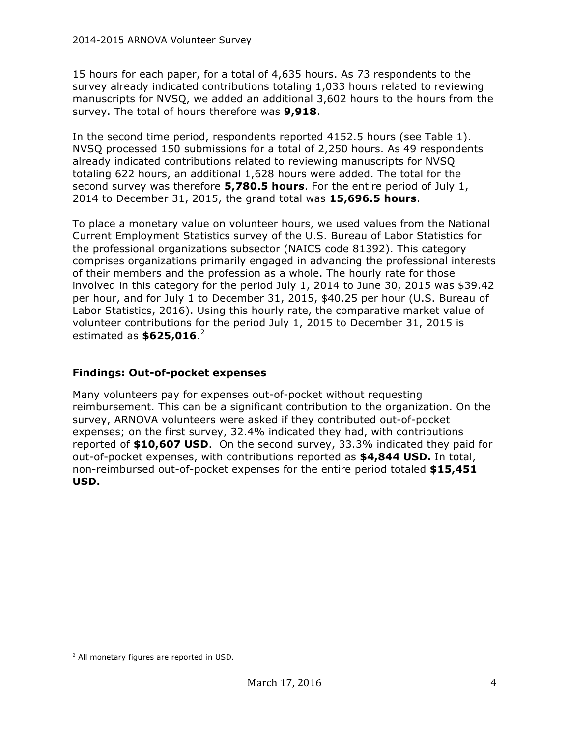15 hours for each paper, for a total of 4,635 hours. As 73 respondents to the survey already indicated contributions totaling 1,033 hours related to reviewing manuscripts for NVSQ, we added an additional 3,602 hours to the hours from the survey. The total of hours therefore was **9,918**.

In the second time period, respondents reported 4152.5 hours (see Table 1). NVSQ processed 150 submissions for a total of 2,250 hours. As 49 respondents already indicated contributions related to reviewing manuscripts for NVSQ totaling 622 hours, an additional 1,628 hours were added. The total for the second survey was therefore **5,780.5 hours**. For the entire period of July 1, 2014 to December 31, 2015, the grand total was **15,696.5 hours**.

To place a monetary value on volunteer hours, we used values from the National Current Employment Statistics survey of the U.S. Bureau of Labor Statistics for the professional organizations subsector (NAICS code 81392). This category comprises organizations primarily engaged in advancing the professional interests of their members and the profession as a whole. The hourly rate for those involved in this category for the period July 1, 2014 to June 30, 2015 was \$39.42 per hour, and for July 1 to December 31, 2015, \$40.25 per hour (U.S. Bureau of Labor Statistics, 2016). Using this hourly rate, the comparative market value of volunteer contributions for the period July 1, 2015 to December 31, 2015 is estimated as **\$625,016**. 2

## **Findings: Out-of-pocket expenses**

Many volunteers pay for expenses out-of-pocket without requesting reimbursement. This can be a significant contribution to the organization. On the survey, ARNOVA volunteers were asked if they contributed out-of-pocket expenses; on the first survey, 32.4% indicated they had, with contributions reported of **\$10,607 USD**. On the second survey, 33.3% indicated they paid for out-of-pocket expenses, with contributions reported as **\$4,844 USD.** In total, non-reimbursed out-of-pocket expenses for the entire period totaled **\$15,451 USD.**

 <sup>2</sup> All monetary figures are reported in USD.